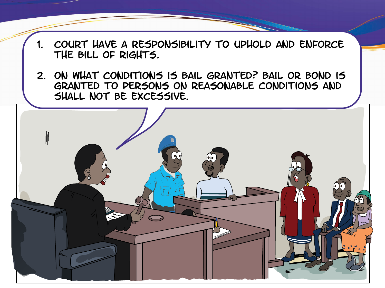- 1. Court have a responsibility to uphold and enforce the Bill of Rights.
- 2. On what conditions is bail granted? Bail or Bond is granted to persons on reasonable conditions and shall not be excessive.

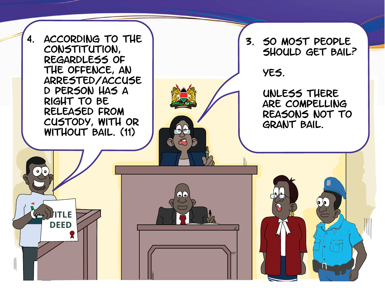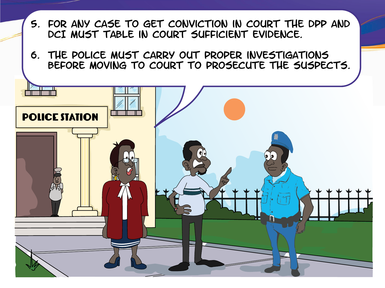